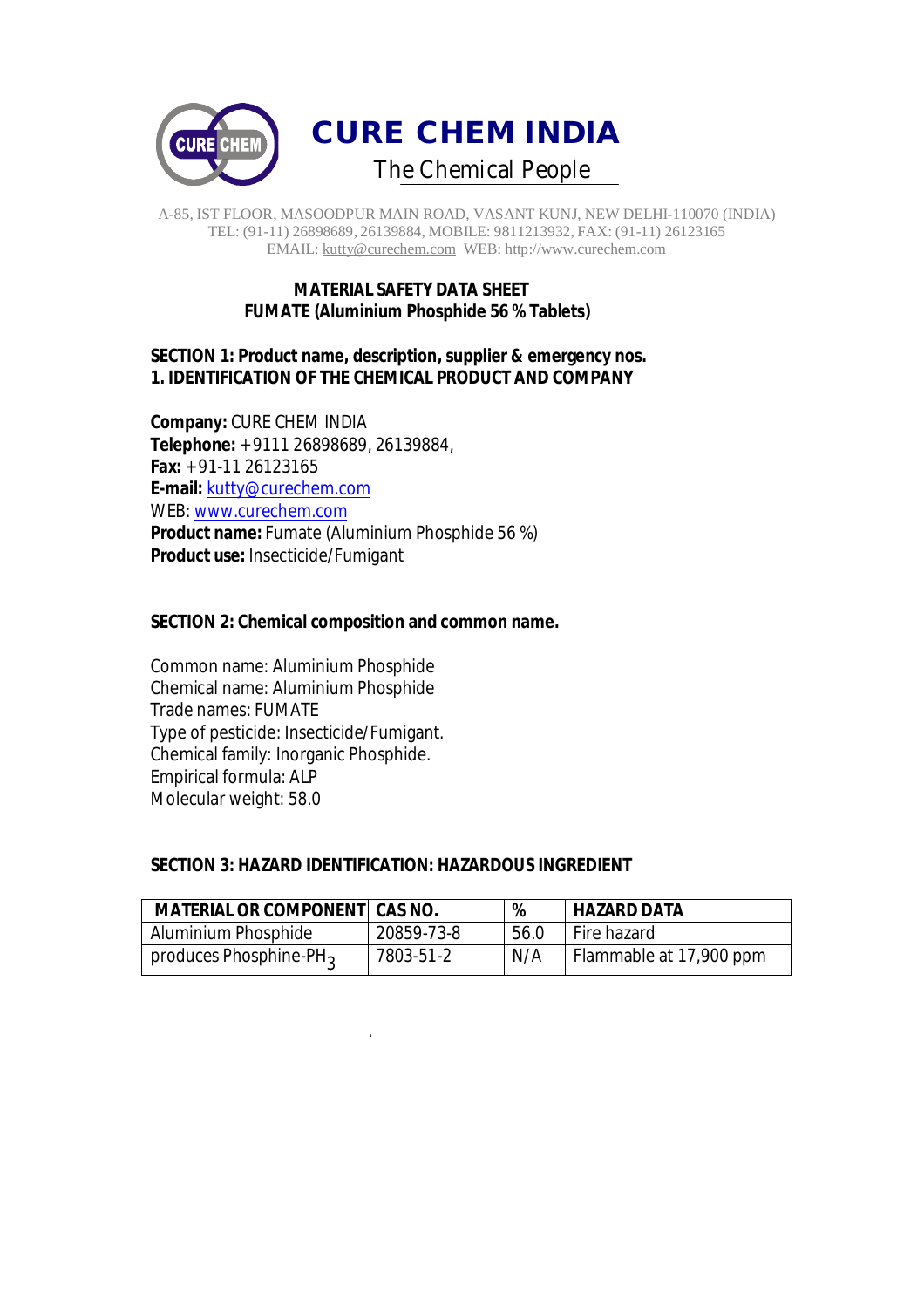

## **MATERIAL SAFETY DATA SHEET FUMATE (Aluminium Phosphide 56 % Tablets)**

## **SECTION 1: Product name, description, supplier & emergency nos. 1. IDENTIFICATION OF THE CHEMICAL PRODUCT AND COMPANY**

**Company:** CURE CHEM INDIA **Telephone:** + 9111 26898689, 26139884, **Fax:** + 91-11 26123165 **E-mail:** kutty@curechem.com WEB: www.curechem.com **Product name:** Fumate (Aluminium Phosphide 56 %) **Product use:** Insecticide/Fumigant

## **SECTION 2: Chemical composition and common name.**

Common name: Aluminium Phosphide Chemical name: Aluminium Phosphide Trade names: FUMATE Type of pesticide: Insecticide/Fumigant. Chemical family: Inorganic Phosphide. Empirical formula: ALP Molecular weight: 58.0

.

## **SECTION 3: HAZARD IDENTIFICATION: HAZARDOUS INGREDIENT**

| <b>MATERIAL OR COMPONENT CAS NO.</b> |            | %    | <b>HAZARD DATA</b>      |
|--------------------------------------|------------|------|-------------------------|
| Aluminium Phosphide                  | 20859-73-8 | 56.0 | Fire hazard             |
| produces Phosphine-PH <sub>3</sub>   | 7803-51-2  | N/A  | Flammable at 17,900 ppm |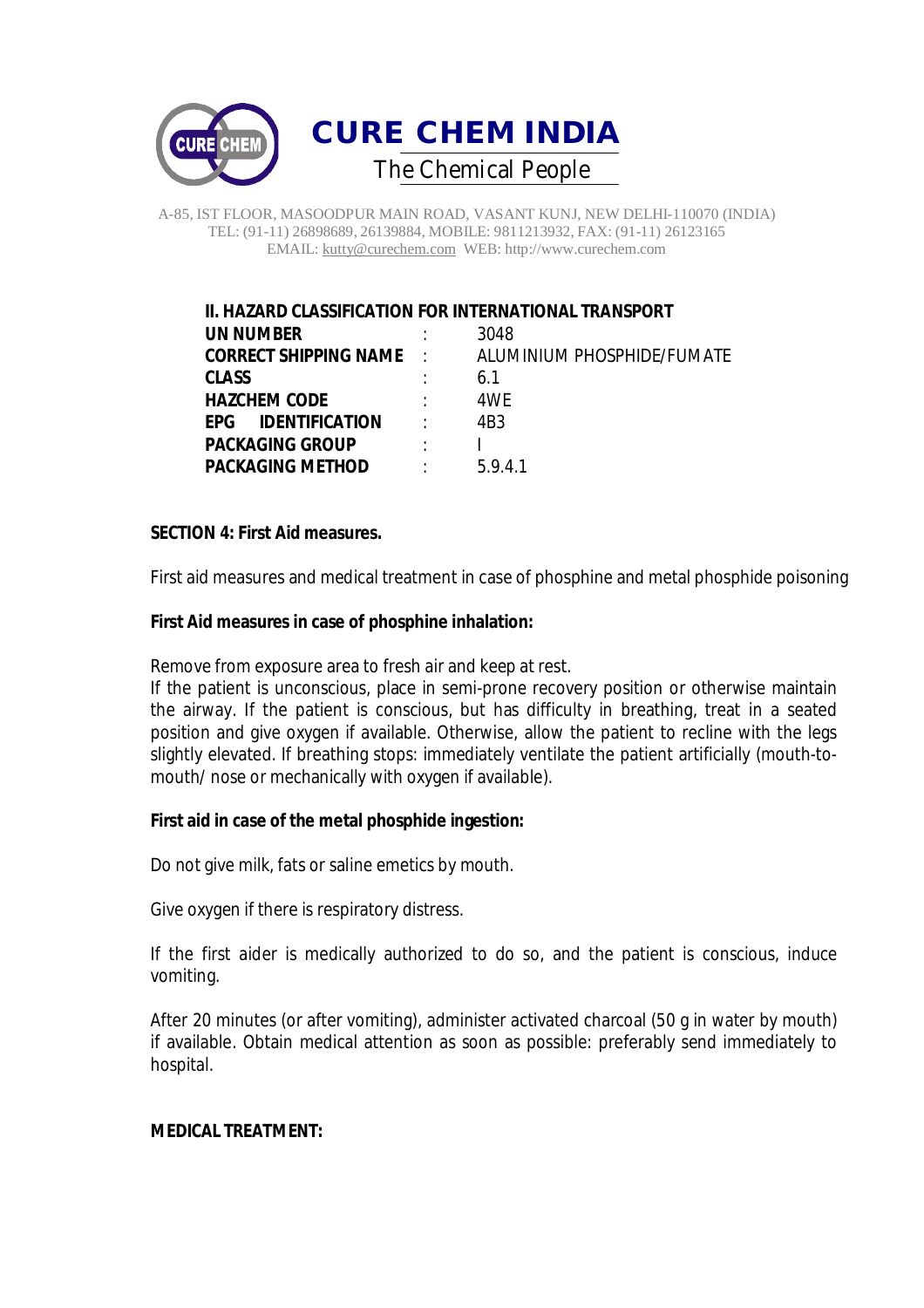

## **II. HAZARD CLASSIFICATION FOR INTERNATIONAL TRANSPORT UN NUMBER** : 3048 **CORRECT SHIPPING NAME** : ALUMINIUM PHOSPHIDE/FUMATE **CLASS** : 6.1 **HAZCHEM CODE** : 4WE **EPG IDENTIFICATION** : 4B3 **PACKAGING GROUP** : I PACKAGING METHOD : 5.9.4.1

## **SECTION 4: First Aid measures.**

First aid measures and medical treatment in case of phosphine and metal phosphide poisoning

## **First Aid measures in case of phosphine inhalation:**

Remove from exposure area to fresh air and keep at rest.

If the patient is unconscious, place in semi-prone recovery position or otherwise maintain the airway. If the patient is conscious, but has difficulty in breathing, treat in a seated position and give oxygen if available. Otherwise, allow the patient to recline with the legs slightly elevated. If breathing stops: immediately ventilate the patient artificially (mouth-tomouth/ nose or mechanically with oxygen if available).

## **First aid in case of the metal phosphide ingestion:**

Do not give milk, fats or saline emetics by mouth.

Give oxygen if there is respiratory distress.

If the first aider is medically authorized to do so, and the patient is conscious, induce vomiting.

After 20 minutes (or after vomiting), administer activated charcoal (50 g in water by mouth) if available. Obtain medical attention as soon as possible: preferably send immediately to hospital.

#### **MEDICAL TREATMENT:**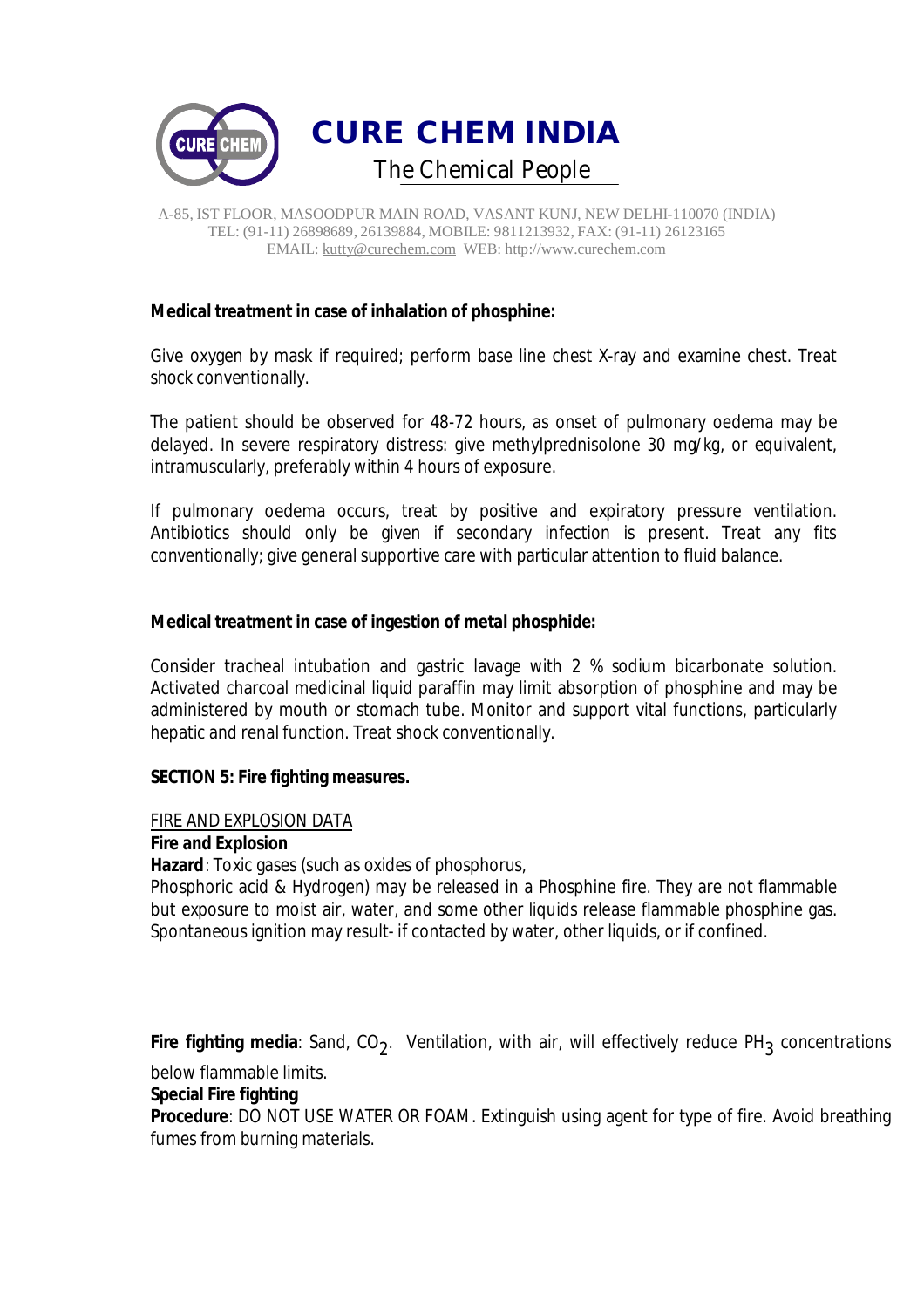

## **Medical treatment in case of inhalation of phosphine:**

Give oxygen by mask if required; perform base line chest X-ray and examine chest. Treat shock conventionally.

The patient should be observed for 48-72 hours, as onset of pulmonary oedema may be delayed. In severe respiratory distress: give methylprednisolone 30 mg/kg, or equivalent, intramuscularly, preferably within 4 hours of exposure.

If pulmonary oedema occurs, treat by positive and expiratory pressure ventilation. Antibiotics should only be given if secondary infection is present. Treat any fits conventionally; give general supportive care with particular attention to fluid balance.

## **Medical treatment in case of ingestion of metal phosphide:**

Consider tracheal intubation and gastric lavage with 2 % sodium bicarbonate solution. Activated charcoal medicinal liquid paraffin may limit absorption of phosphine and may be administered by mouth or stomach tube. Monitor and support vital functions, particularly hepatic and renal function. Treat shock conventionally.

## **SECTION 5: Fire fighting measures.**

## FIRE AND EXPLOSION DATA

## **Fire and Explosion**

**Hazard**: Toxic gases (such as oxides of phosphorus,

Phosphoric acid & Hydrogen) may be released in a Phosphine fire. They are not flammable but exposure to moist air, water, and some other liquids release flammable phosphine gas. Spontaneous ignition may result- if contacted by water, other liquids, or if confined.

**Fire fighting media**: Sand, CO<sub>2</sub>. Ventilation, with air, will effectively reduce PH<sub>3</sub> concentrations

below flammable limits.

## **Special Fire fighting**

**Procedure**: DO NOT USE WATER OR FOAM. Extinguish using agent for type of fire. Avoid breathing fumes from burning materials.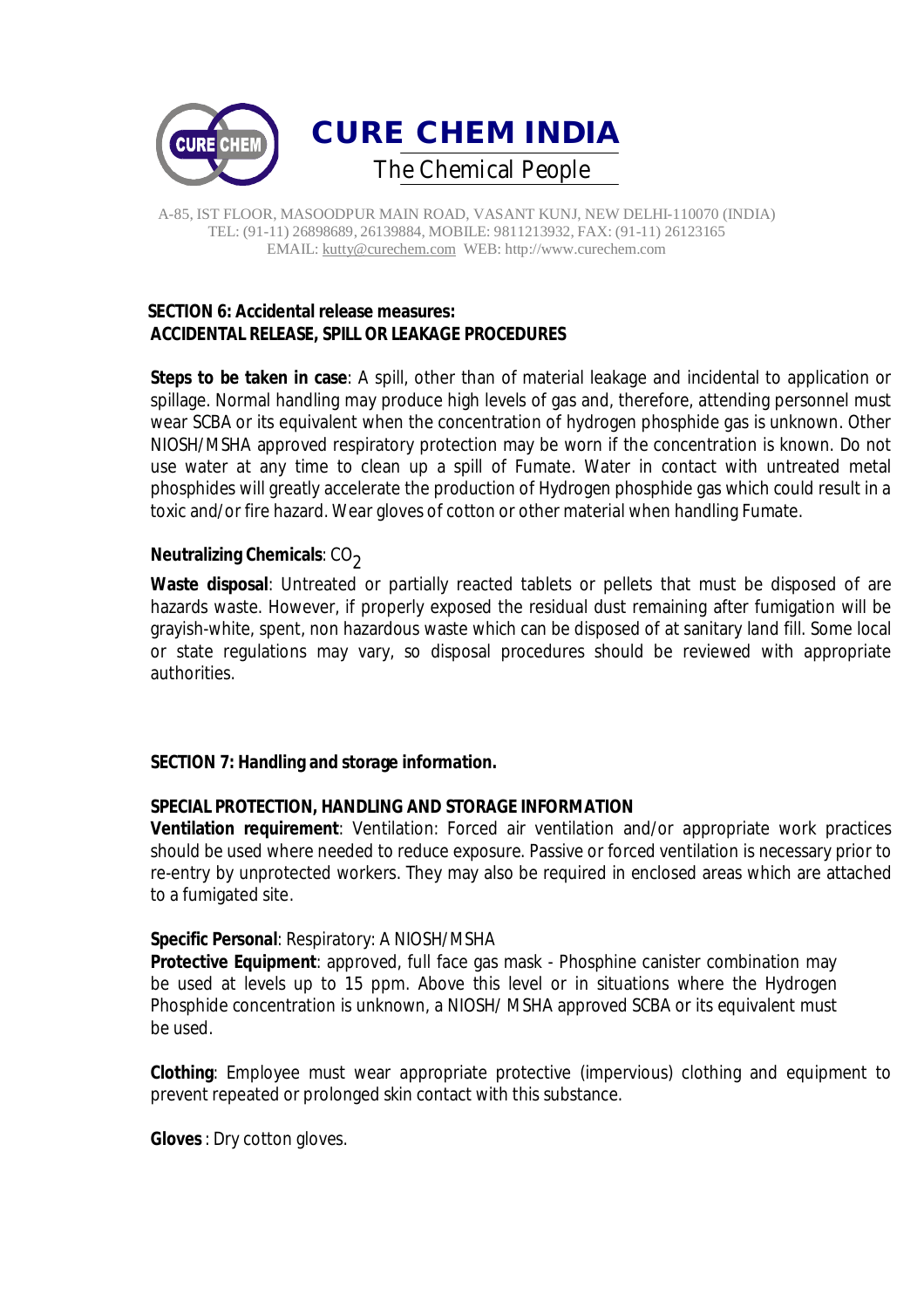

# **SECTION 6: Accidental release measures: ACCIDENTAL RELEASE, SPILL OR LEAKAGE PROCEDURES**

**Steps to be taken in case**: A spill, other than of material leakage and incidental to application or spillage. Normal handling may produce high levels of gas and, therefore, attending personnel must wear SCBA or its equivalent when the concentration of hydrogen phosphide gas is unknown. Other NIOSH/MSHA approved respiratory protection may be worn if the concentration is known. Do not use water at any time to clean up a spill of Fumate. Water in contact with untreated metal phosphides will greatly accelerate the production of Hydrogen phosphide gas which could result in a toxic and/or fire hazard. Wear gloves of cotton or other material when handling Fumate.

## **Neutralizing Chemicals: CO<sub>2</sub>**

**Waste disposal**: Untreated or partially reacted tablets or pellets that must be disposed of are hazards waste. However, if properly exposed the residual dust remaining after fumigation will be grayish-white, spent, non hazardous waste which can be disposed of at sanitary land fill. Some local or state regulations may vary, so disposal procedures should be reviewed with appropriate authorities.

## **SECTION 7: Handling and storage information.**

## **SPECIAL PROTECTION, HANDLING AND STORAGE INFORMATION**

**Ventilation requirement**: Ventilation: Forced air ventilation and/or appropriate work practices should be used where needed to reduce exposure. Passive or forced ventilation is necessary prior to re-entry by unprotected workers. They may also be required in enclosed areas which are attached to a fumigated site.

## **Specific Personal**: Respiratory: A NIOSH/MSHA

**Protective Equipment**: approved, full face gas mask - Phosphine canister combination may be used at levels up to 15 ppm. Above this level or in situations where the Hydrogen Phosphide concentration is unknown, a NIOSH/ MSHA approved SCBA or its equivalent must be used.

**Clothing**: Employee must wear appropriate protective (impervious) clothing and equipment to prevent repeated or prolonged skin contact with this substance.

**Gloves**: Dry cotton gloves.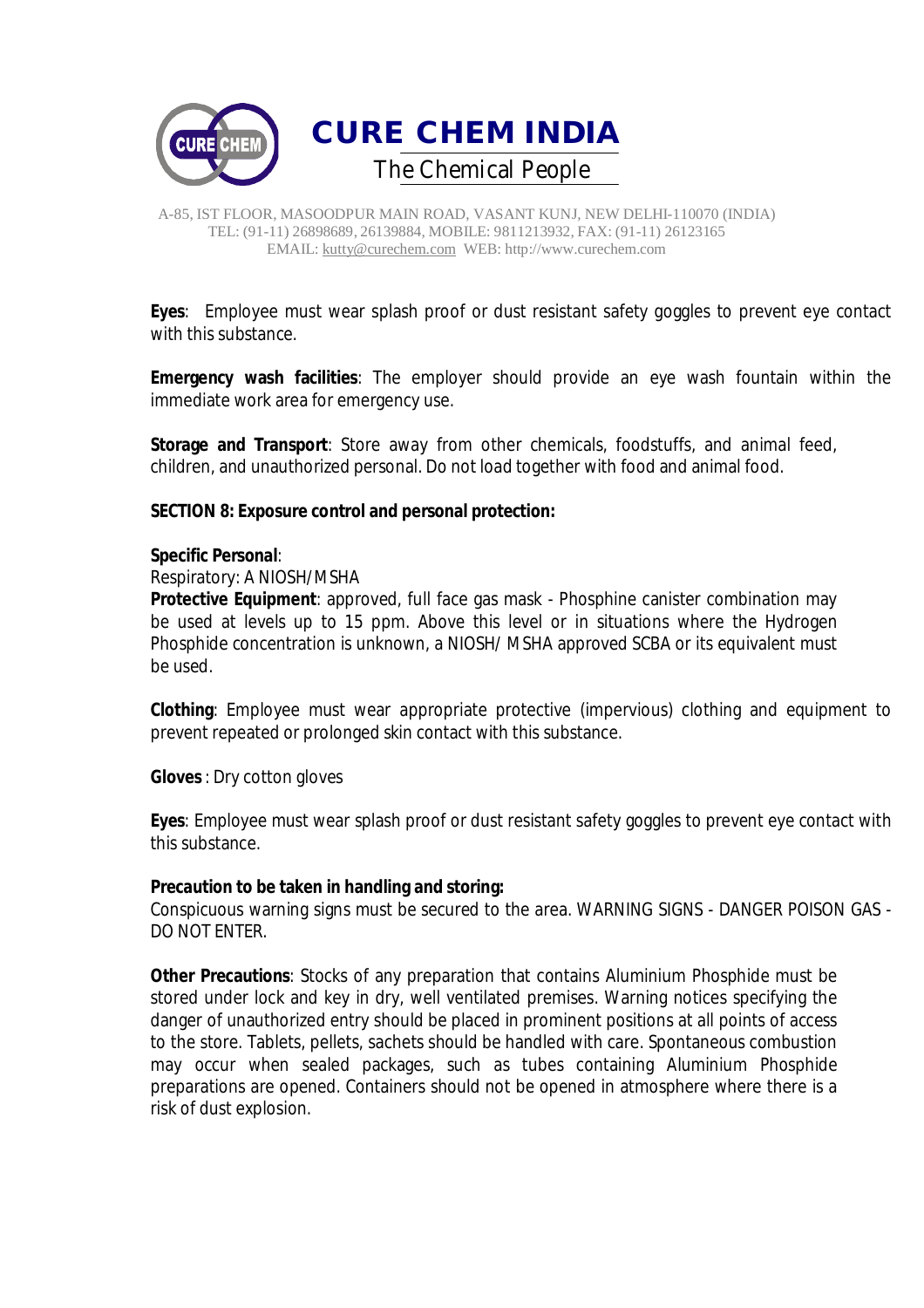

**Eyes**: Employee must wear splash proof or dust resistant safety goggles to prevent eye contact with this substance.

**Emergency wash facilities**: The employer should provide an eye wash fountain within the immediate work area for emergency use.

**Storage and Transport**: Store away from other chemicals, foodstuffs, and animal feed, children, and unauthorized personal. Do not load together with food and animal food.

## **SECTION 8: Exposure control and personal protection:**

## **Specific Personal**:

Respiratory: A NIOSH/MSHA

**Protective Equipment**: approved, full face gas mask - Phosphine canister combination may be used at levels up to 15 ppm. Above this level or in situations where the Hydrogen Phosphide concentration is unknown, a NIOSH/ MSHA approved SCBA or its equivalent must be used.

**Clothing**: Employee must wear appropriate protective (impervious) clothing and equipment to prevent repeated or prolonged skin contact with this substance.

**Gloves**: Dry cotton gloves

**Eyes**: Employee must wear splash proof or dust resistant safety goggles to prevent eye contact with this substance.

## **Precaution to be taken in handling and storing:**

Conspicuous warning signs must be secured to the area. WARNING SIGNS - DANGER POISON GAS - DO NOT ENTER.

**Other Precautions**: Stocks of any preparation that contains Aluminium Phosphide must be stored under lock and key in dry, well ventilated premises. Warning notices specifying the danger of unauthorized entry should be placed in prominent positions at all points of access to the store. Tablets, pellets, sachets should be handled with care. Spontaneous combustion may occur when sealed packages, such as tubes containing Aluminium Phosphide preparations are opened. Containers should not be opened in atmosphere where there is a risk of dust explosion.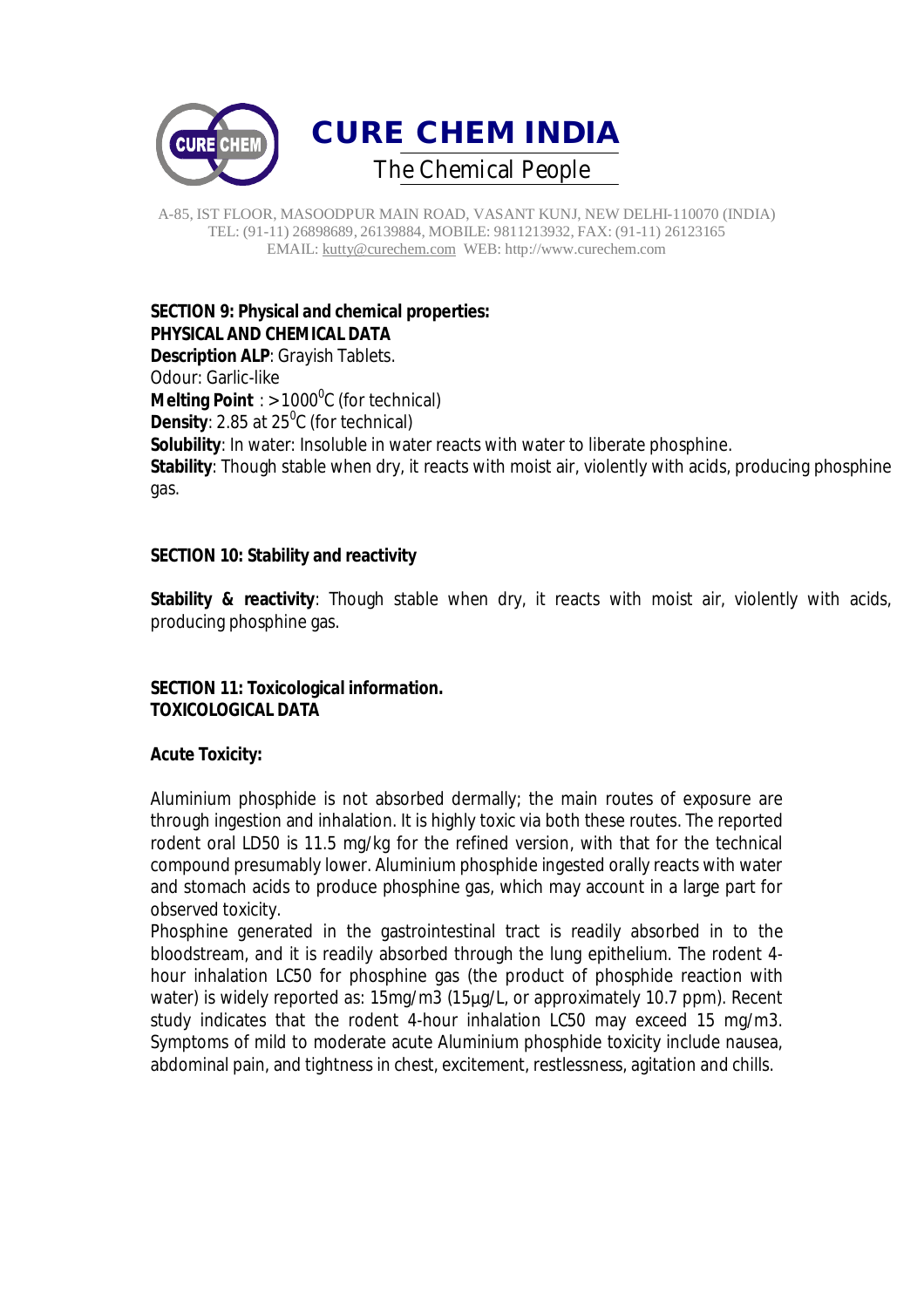

# **SECTION 9: Physical and chemical properties: PHYSICAL AND CHEMICAL DATA**

**Description ALP**: Grayish Tablets. Odour: Garlic-like **Melting Point** : > 1000<sup>0</sup>C (for technical) **Density**: 2.85 at 25<sup>0</sup>C (for technical) **Solubility**: In water: Insoluble in water reacts with water to liberate phosphine. **Stability**: Though stable when dry, it reacts with moist air, violently with acids, producing phosphine gas.

# **SECTION 10: Stability and reactivity**

**Stability & reactivity**: Though stable when dry, it reacts with moist air, violently with acids, producing phosphine gas.

# **SECTION 11: Toxicological information. TOXICOLOGICAL DATA**

# **Acute Toxicity:**

Aluminium phosphide is not absorbed dermally; the main routes of exposure are through ingestion and inhalation. It is highly toxic via both these routes. The reported rodent oral LD50 is 11.5 mg/kg for the refined version, with that for the technical compound presumably lower. Aluminium phosphide ingested orally reacts with water and stomach acids to produce phosphine gas, which may account in a large part for observed toxicity.

Phosphine generated in the gastrointestinal tract is readily absorbed in to the bloodstream, and it is readily absorbed through the lung epithelium. The rodent 4 hour inhalation LC50 for phosphine gas (the product of phosphide reaction with water) is widely reported as: 15mg/m3 (15μg/L, or approximately 10.7 ppm). Recent study indicates that the rodent 4-hour inhalation LC50 may exceed 15 mg/m3. Symptoms of mild to moderate acute Aluminium phosphide toxicity include nausea, abdominal pain, and tightness in chest, excitement, restlessness, agitation and chills.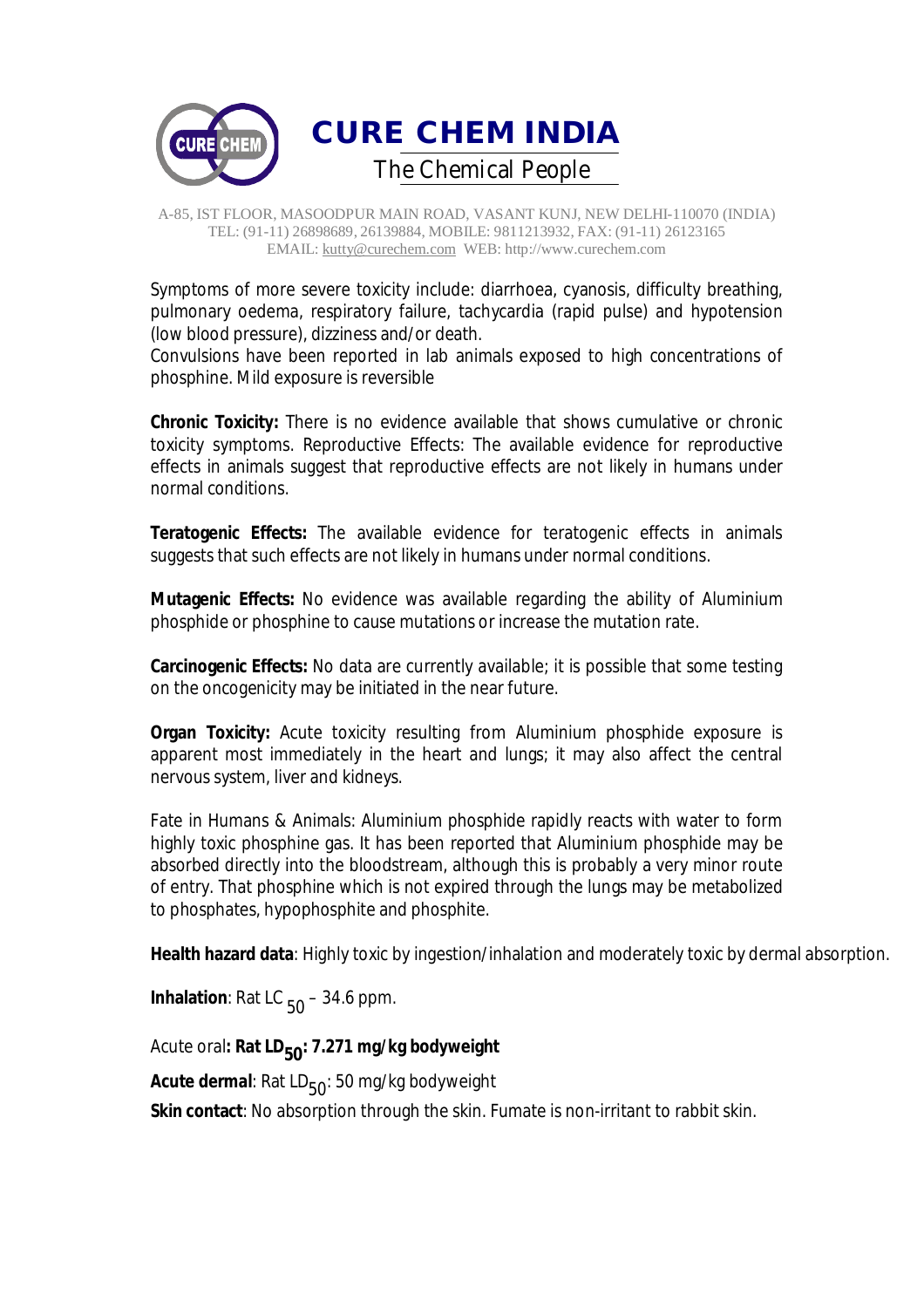

Symptoms of more severe toxicity include: diarrhoea, cyanosis, difficulty breathing, pulmonary oedema, respiratory failure, tachycardia (rapid pulse) and hypotension (low blood pressure), dizziness and/or death.

Convulsions have been reported in lab animals exposed to high concentrations of phosphine. Mild exposure is reversible

**Chronic Toxicity:** There is no evidence available that shows cumulative or chronic toxicity symptoms. Reproductive Effects: The available evidence for reproductive effects in animals suggest that reproductive effects are not likely in humans under normal conditions.

**Teratogenic Effects:** The available evidence for teratogenic effects in animals suggests that such effects are not likely in humans under normal conditions.

**Mutagenic Effects:** No evidence was available regarding the ability of Aluminium phosphide or phosphine to cause mutations or increase the mutation rate.

**Carcinogenic Effects:** No data are currently available; it is possible that some testing on the oncogenicity may be initiated in the near future.

**Organ Toxicity:** Acute toxicity resulting from Aluminium phosphide exposure is apparent most immediately in the heart and lungs; it may also affect the central nervous system, liver and kidneys.

Fate in Humans & Animals: Aluminium phosphide rapidly reacts with water to form highly toxic phosphine gas. It has been reported that Aluminium phosphide may be absorbed directly into the bloodstream, although this is probably a very minor route of entry. That phosphine which is not expired through the lungs may be metabolized to phosphates, hypophosphite and phosphite.

**Health hazard data**: Highly toxic by ingestion/inhalation and moderately toxic by dermal absorption.

**Inhalation**: Rat LC  $_{50}$  – 34.6 ppm.

Acute oral: Rat LD<sub>50</sub>: 7.271 mg/kg bodyweight

Acute dermal: Rat LD<sub>50</sub>: 50 mg/kg bodyweight

**Skin contact**: No absorption through the skin. Fumate is non-irritant to rabbit skin.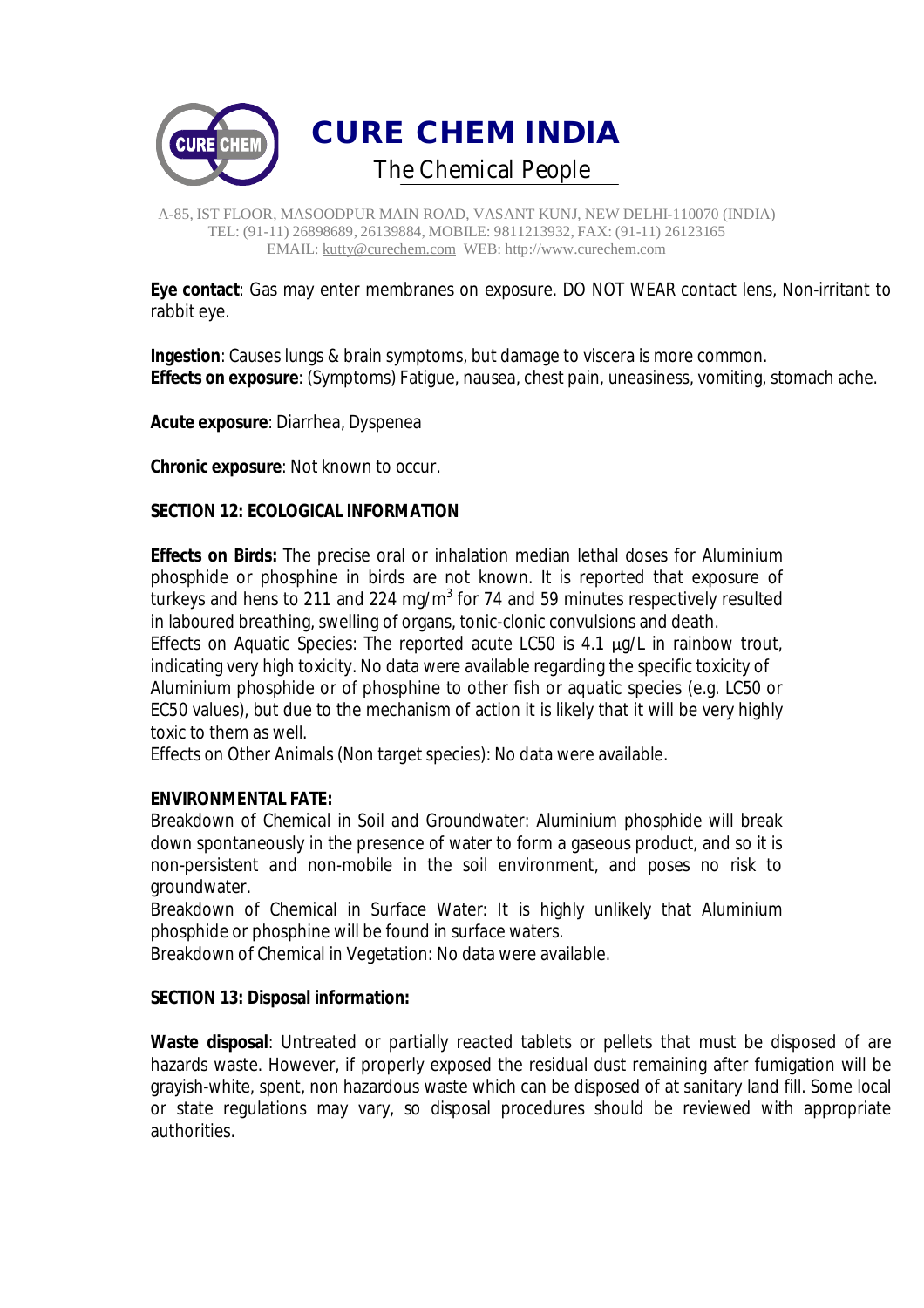

**Eye contact**: Gas may enter membranes on exposure. DO NOT WEAR contact lens, Non-irritant to rabbit eye.

**Ingestion**: Causes lungs & brain symptoms, but damage to viscera is more common. **Effects on exposure**: (Symptoms) Fatigue, nausea, chest pain, uneasiness, vomiting, stomach ache.

**Acute exposure**: Diarrhea, Dyspenea

**Chronic exposure**: Not known to occur.

## **SECTION 12: ECOLOGICAL INFORMATION**

**Effects on Birds:** The precise oral or inhalation median lethal doses for Aluminium phosphide or phosphine in birds are not known. It is reported that exposure of turkeys and hens to 211 and 224 mg/m<sup>3</sup> for 74 and 59 minutes respectively resulted in laboured breathing, swelling of organs, tonic-clonic convulsions and death.

Effects on Aquatic Species: The reported acute LC50 is 4.1 μg/L in rainbow trout, indicating very high toxicity. No data were available regarding the specific toxicity of Aluminium phosphide or of phosphine to other fish or aquatic species (e.g. LC50 or EC50 values), but due to the mechanism of action it is likely that it will be very highly toxic to them as well.

Effects on Other Animals (Non target species): No data were available.

## **ENVIRONMENTAL FATE:**

Breakdown of Chemical in Soil and Groundwater: Aluminium phosphide will break down spontaneously in the presence of water to form a gaseous product, and so it is non-persistent and non-mobile in the soil environment, and poses no risk to groundwater.

Breakdown of Chemical in Surface Water: It is highly unlikely that Aluminium phosphide or phosphine will be found in surface waters.

Breakdown of Chemical in Vegetation: No data were available.

## **SECTION 13: Disposal information:**

**Waste disposal**: Untreated or partially reacted tablets or pellets that must be disposed of are hazards waste. However, if properly exposed the residual dust remaining after fumigation will be grayish-white, spent, non hazardous waste which can be disposed of at sanitary land fill. Some local or state regulations may vary, so disposal procedures should be reviewed with appropriate authorities.